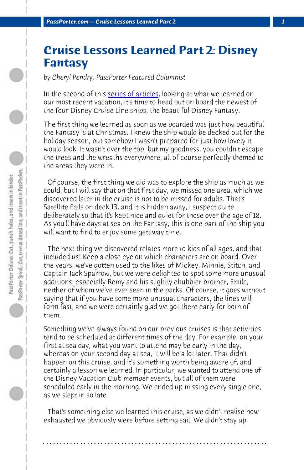*PassPorter.com -- Cruise Lessons Learned Part 2 1*

## **Cruise Lessons Learned Part 2: Disney Fantasy**

*by Cheryl Pendry, PassPorter Featured Columnist*

In the second of this series of articles, looking at what we learned on our most recent vacation, it's time to head out on board the newest of the four Disney Cruise Line ships, the beautiful Disney Fantasy.

The first thing we learned as soon as we boarded was just how beautiful the Fantasy is at Christmas. I knew the ship would be decked out for the holiday season, but somehow I wasn't prepared for just how lovely it would look. It wasn't over the top, but my goodness, you couldn't escape the trees and the wreaths everywhere, all of course perfectly themed to the areas they were in.

 Of course, the first thing we did was to explore the ship as much as we could, but I will say that on that first day, we missed one area, which we discovered later in the cruise is not to be missed for adults. That's Satellite Falls on deck 13, and it is hidden away, I suspect quite deliberately so that it's kept nice and quiet for those over the age of 18. As you'll have days at sea on the Fantasy, this is one part of the ship you will want to find to enjoy some getaway time.

 The next thing we discovered relates more to kids of all ages, and that included us! Keep a close eye on which characters are on board. Over the years, we've gotten used to the likes of Mickey, Minnie, Stitch, and Captain Jack Sparrow, but we were delighted to spot some more unusual additions, especially Remy and his slightly chubbier brother, Emile, neither of whom we've ever seen in the parks. Of course, it goes without saying that if you have some more unusual characters, the lines will form fast, and we were certainly glad we got there early for both of them.

Something we've always found on our previous cruises is that activities tend to be scheduled at different times of the day. For example, on your first at sea day, what you want to attend may be early in the day, whereas on your second day at sea, it will be a lot later. That didn't happen on this cruise, and it's something worth being aware of, and certainly a lesson we learned. In particular, we wanted to attend one of the Disney Vacation Club member events, but all of them were scheduled early in the morning. We ended up missing every single one, as we slept in so late.

 That's something else we learned this cruise, as we didn't realise how exhausted we obviously were before setting sail. We didn't stay up

**. . . . . . . . . . . . . . . . . . . . . . . . . . . . . . . . . . . . . . . . . . . . . . . . . . . . . . . . . . . . . . . . . .**

 $\bigcirc$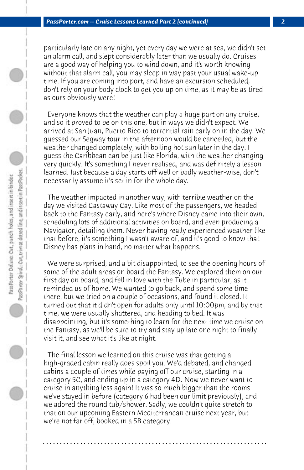particularly late on any night, yet every day we were at sea, we didn't set an alarm call, and slept considerably later than we usually do. Cruises are a good way of helping you to wind down, and it's worth knowing without that alarm call, you may sleep in way past your usual wake-up time. If you are coming into port, and have an excursion scheduled, don't rely on your body clock to get you up on time, as it may be as tired as ours obviously were!

 Everyone knows that the weather can play a huge part on any cruise, and so it proved to be on this one, but in ways we didn't expect. We arrived at San Juan, Puerto Rico to torrential rain early on in the day. We guessed our Segway tour in the afternoon would be cancelled, but the weather changed completely, with boiling hot sun later in the day. I guess the Caribbean can be just like Florida, with the weather changing very quickly. It's something I never realised, and was definitely a lesson learned. Just because a day starts off well or badly weather-wise, don't necessarily assume it's set in for the whole day.

 The weather impacted in another way, with terrible weather on the day we visited Castaway Cay. Like most of the passengers, we headed back to the Fantasy early, and here's where Disney came into their own, scheduling lots of additional activities on board, and even producing a Navigator, detailing them. Never having really experienced weather like that before, it's something I wasn't aware of, and it's good to know that Disney has plans in hand, no matter what happens.

 We were surprised, and a bit disappointed, to see the opening hours of some of the adult areas on board the Fantasy. We explored them on our first day on board, and fell in love with the Tube in particular, as it reminded us of home. We wanted to go back, and spend some time there, but we tried on a couple of occasions, and found it closed. It turned out that it didn't open for adults only until 10:00pm, and by that time, we were usually shattered, and heading to bed. It was disappointing, but it's something to learn for the next time we cruise on the Fantasy, as we'll be sure to try and stay up late one night to finally visit it, and see what it's like at night.

 The final lesson we learned on this cruise was that getting a high-graded cabin really does spoil you. We'd debated, and changed cabins a couple of times while paying off our cruise, starting in a category 5C, and ending up in a category 4D. Now we never want to cruise in anything less again! It was so much bigger than the rooms we've stayed in before (category 6 had been our limit previously), and we adored the round tub/shower. Sadly, we couldn't quite stretch to that on our upcoming Eastern Mediterranean cruise next year, but we're not far off, booked in a 5B category.

**. . . . . . . . . . . . . . . . . . . . . . . . . . . . . . . . . . . . . . . . . . . . . . . . . . . . . . . . . . . . . . . . . .**